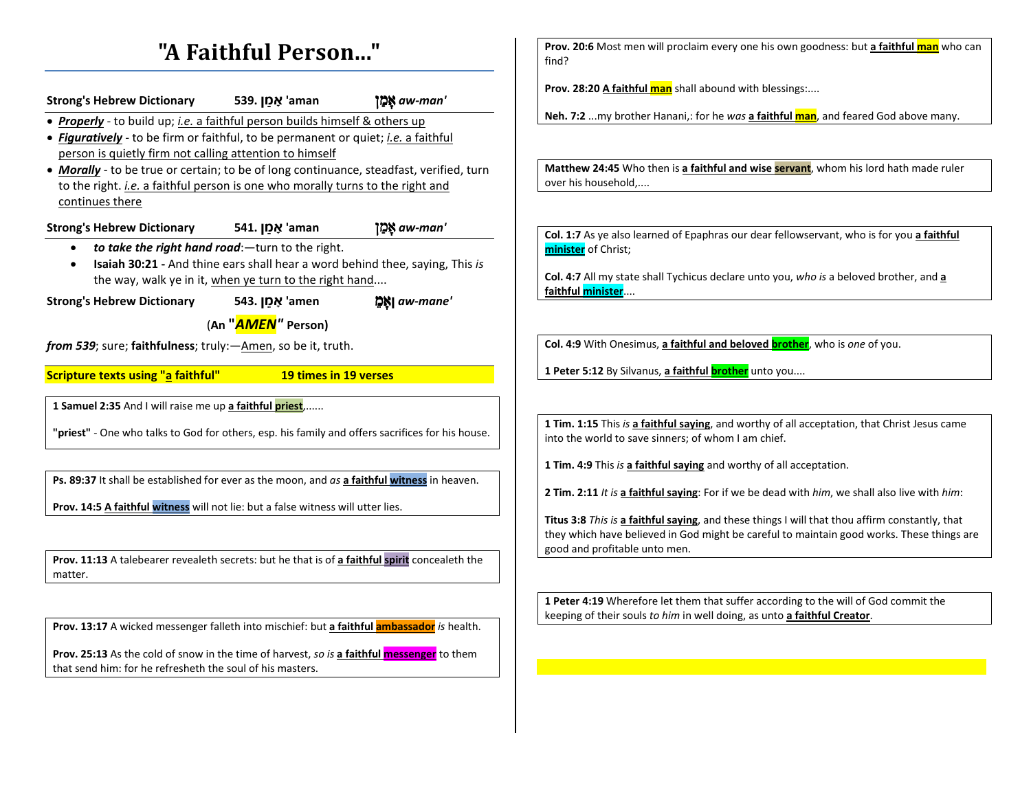# **"A Faithful Person..."**

| Strong's Hebrew Dictionary 539. אָמַן 'aman                                                      |                                                        | ' <b>ממן אמן</b> aw-man                                                      |
|--------------------------------------------------------------------------------------------------|--------------------------------------------------------|------------------------------------------------------------------------------|
| • Properly - to build up; <i>i.e.</i> a faithful person builds himself & others up               |                                                        |                                                                              |
| • Figuratively - to be firm or faithful, to be permanent or quiet; i.e. a faithful               |                                                        |                                                                              |
| person is quietly firm not calling attention to himself                                          |                                                        |                                                                              |
| • Morally - to be true or certain; to be of long continuance, steadfast, verified, turn          |                                                        |                                                                              |
| to the right. <i>i.e.</i> a faithful person is one who morally turns to the right and            |                                                        |                                                                              |
| continues there                                                                                  |                                                        |                                                                              |
|                                                                                                  |                                                        |                                                                              |
| <b>Strong's Hebrew Dictionary</b>                                                                | אַמַן .541 <u>אָ</u> ל                                 | 'aw-man\ אֲמַן                                                               |
|                                                                                                  | to take the right hand road: - turn to the right.      |                                                                              |
| ٠                                                                                                |                                                        | Isaiah 30:21 - And thine ears shall hear a word behind thee, saying, This is |
|                                                                                                  | the way, walk ye in it, when ye turn to the right hand |                                                                              |
| <b>Strong's Hebrew Dictionary</b>                                                                | 543. אָמֵן 'amen                                       | '@Maw-mane  אֱכֶן                                                            |
|                                                                                                  | (An "AMEN" Person)                                     |                                                                              |
|                                                                                                  |                                                        |                                                                              |
| <i>from 539</i> ; sure; faithfulness; truly: - Amen, so be it, truth.                            |                                                        |                                                                              |
| <b>Scripture texts using "a faithful"</b>                                                        | 19 times in 19 verses                                  |                                                                              |
|                                                                                                  |                                                        |                                                                              |
| 1 Samuel 2:35 And I will raise me up a faithful priest,                                          |                                                        |                                                                              |
|                                                                                                  |                                                        |                                                                              |
| "priest" - One who talks to God for others, esp. his family and offers sacrifices for his house. |                                                        |                                                                              |
|                                                                                                  |                                                        |                                                                              |
|                                                                                                  |                                                        |                                                                              |
| Ps. 89:37 It shall be established for ever as the moon, and as a faithful witness in heaven.     |                                                        |                                                                              |
| Prov. 14:5 A faithful witness will not lie: but a false witness will utter lies.                 |                                                        |                                                                              |
|                                                                                                  |                                                        |                                                                              |
|                                                                                                  |                                                        |                                                                              |
|                                                                                                  |                                                        |                                                                              |
| Prov. 11:13 A talebearer revealeth secrets: but he that is of a faithful spirit concealeth the   |                                                        |                                                                              |

matter.

**Prov. 13:17** A wicked messenger falleth into mischief: but **a faithful ambassador** *is* health.

**Prov. 25:13** As the cold of snow in the time of harvest, *so is* **a faithful messenger** to them that send him: for he refresheth the soul of his masters.

**Prov. 20:6** Most men will proclaim every one his own goodness: but **a faithful man** who can find?

**Prov. 28:20 A faithful man** shall abound with blessings:....

**Neh. 7:2** ...my brother Hanani,: for he *was* **a faithful man**, and feared God above many.

**Matthew 24:45** Who then is **a faithful and wise servant**, whom his lord hath made ruler over his household,....

**Col. 1:7** As ye also learned of Epaphras our dear fellowservant, who is for you **a faithful minister** of Christ;

**Col. 4:7** All my state shall Tychicus declare unto you, *who is* a beloved brother, and **a faithful minister**....

**Col. 4:9** With Onesimus, **a faithful and beloved brother**, who is *one* of you.

**1 Peter 5:12** By Silvanus, a faithful **brother** unto you....

**1 Tim. 1:15** This *is* **a faithful saying**, and worthy of all acceptation, that Christ Jesus came into the world to save sinners; of whom I am chief.

**1 Tim. 4:9** This *is* **a faithful saying** and worthy of all acceptation.

**2 Tim. 2:11** *It is* **a faithful saying**: For if we be dead with *him*, we shall also live with *him*:

**Titus 3:8** *This is* **a faithful saying**, and these things I will that thou affirm constantly, that they which have believed in God might be careful to maintain good works. These things are good and profitable unto men.

**1 Peter 4:19** Wherefore let them that suffer according to the will of God commit the keeping of their souls *to him* in well doing, as unto **a faithful Creator**.